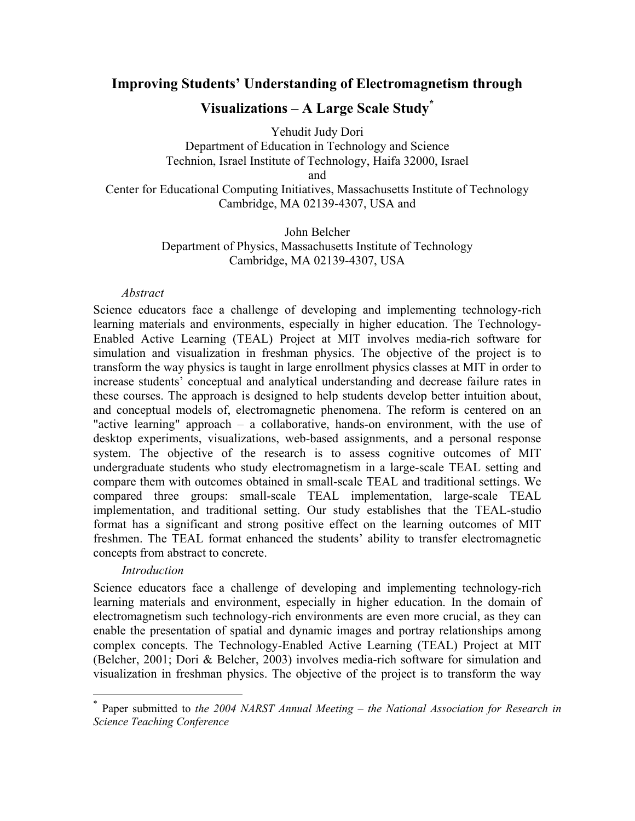# **Improving Students' Understanding of Electromagnetism through**

# **Visualizations – A Large Scale Study\***

Yehudit Judy Dori

Department of Education in Technology and Science Technion, Israel Institute of Technology, Haifa 32000, Israel and

Center for Educational Computing Initiatives, Massachusetts Institute of Technology Cambridge, MA 02139-4307, USA and

> John Belcher Department of Physics, Massachusetts Institute of Technology Cambridge, MA 02139-4307, USA

#### *Abstract*

Science educators face a challenge of developing and implementing technology-rich learning materials and environments, especially in higher education. The Technology-Enabled Active Learning (TEAL) Project at MIT involves media-rich software for simulation and visualization in freshman physics. The objective of the project is to transform the way physics is taught in large enrollment physics classes at MIT in order to increase students' conceptual and analytical understanding and decrease failure rates in these courses. The approach is designed to help students develop better intuition about, and conceptual models of, electromagnetic phenomena. The reform is centered on an "active learning" approach – a collaborative, hands-on environment, with the use of desktop experiments, visualizations, web-based assignments, and a personal response system. The objective of the research is to assess cognitive outcomes of MIT undergraduate students who study electromagnetism in a large-scale TEAL setting and compare them with outcomes obtained in small-scale TEAL and traditional settings. We compared three groups: small-scale TEAL implementation, large-scale TEAL implementation, and traditional setting. Our study establishes that the TEAL-studio format has a significant and strong positive effect on the learning outcomes of MIT freshmen. The TEAL format enhanced the students' ability to transfer electromagnetic concepts from abstract to concrete.

### *Introduction*

 $\overline{a}$ 

Science educators face a challenge of developing and implementing technology-rich learning materials and environment, especially in higher education. In the domain of electromagnetism such technology-rich environments are even more crucial, as they can enable the presentation of spatial and dynamic images and portray relationships among complex concepts. The Technology-Enabled Active Learning (TEAL) Project at MIT (Belcher, 2001; Dori & Belcher, 2003) involves media-rich software for simulation and visualization in freshman physics. The objective of the project is to transform the way

<sup>\*</sup> Paper submitted to *the 2004 NARST Annual Meeting – the National Association for Research in Science Teaching Conference*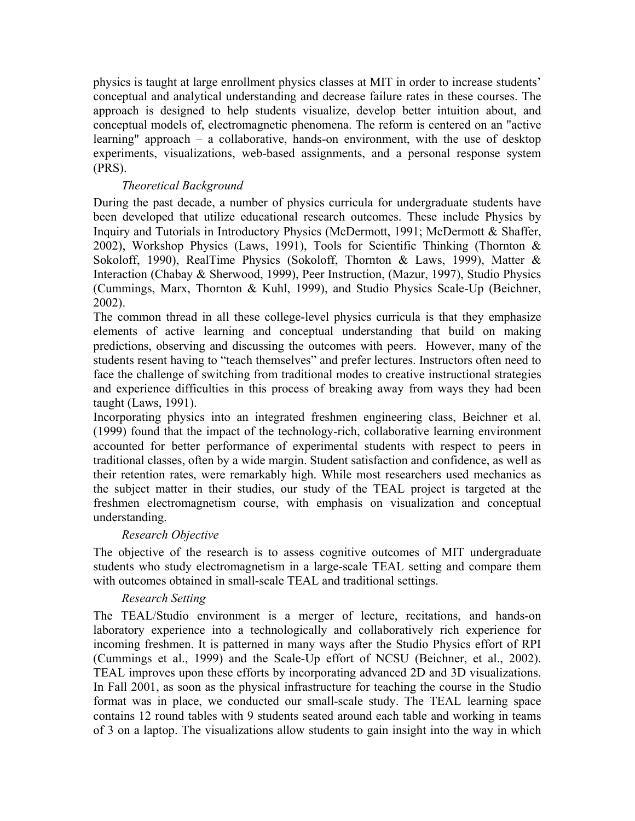physics is taught at large enrollment physics classes at MIT in order to increase students' conceptual and analytical understanding and decrease failure rates in these courses. The approach is designed to help students visualize, develop better intuition about, and conceptual models of, electromagnetic phenomena. The reform is centered on an "active learning" approach – a collaborative, hands-on environment, with the use of desktop experiments, visualizations, web-based assignments, and a personal response system (PRS).

## *Theoretical Background*

During the past decade, a number of physics curricula for undergraduate students have been developed that utilize educational research outcomes. These include Physics by Inquiry and Tutorials in Introductory Physics (McDermott, 1991; McDermott & Shaffer, 2002), Workshop Physics (Laws, 1991), Tools for Scientific Thinking (Thornton & Sokoloff, 1990), RealTime Physics (Sokoloff, Thornton & Laws, 1999), Matter & Interaction (Chabay & Sherwood, 1999), Peer Instruction, (Mazur, 1997), Studio Physics (Cummings, Marx, Thornton & Kuhl, 1999), and Studio Physics Scale-Up (Beichner, 2002).

The common thread in all these college-level physics curricula is that they emphasize elements of active learning and conceptual understanding that build on making predictions, observing and discussing the outcomes with peers. However, many of the students resent having to "teach themselves" and prefer lectures. Instructors often need to face the challenge of switching from traditional modes to creative instructional strategies and experience difficulties in this process of breaking away from ways they had been taught (Laws, 1991).

Incorporating physics into an integrated freshmen engineering class, Beichner et al. (1999) found that the impact of the technology-rich, collaborative learning environment accounted for better performance of experimental students with respect to peers in traditional classes, often by a wide margin. Student satisfaction and confidence, as well as their retention rates, were remarkably high. While most researchers used mechanics as the subject matter in their studies, our study of the TEAL project is targeted at the freshmen electromagnetism course, with emphasis on visualization and conceptual understanding.

## *Research Objective*

The objective of the research is to assess cognitive outcomes of MIT undergraduate students who study electromagnetism in a large-scale TEAL setting and compare them with outcomes obtained in small-scale TEAL and traditional settings.

## *Research Setting*

The TEAL/Studio environment is a merger of lecture, recitations, and hands-on laboratory experience into a technologically and collaboratively rich experience for incoming freshmen. It is patterned in many ways after the Studio Physics effort of RPI (Cummings et al., 1999) and the Scale-Up effort of NCSU (Beichner, et al., 2002). TEAL improves upon these efforts by incorporating advanced 2D and 3D visualizations. In Fall 2001, as soon as the physical infrastructure for teaching the course in the Studio format was in place, we conducted our small-scale study. The TEAL learning space contains 12 round tables with 9 students seated around each table and working in teams of 3 on a laptop. The visualizations allow students to gain insight into the way in which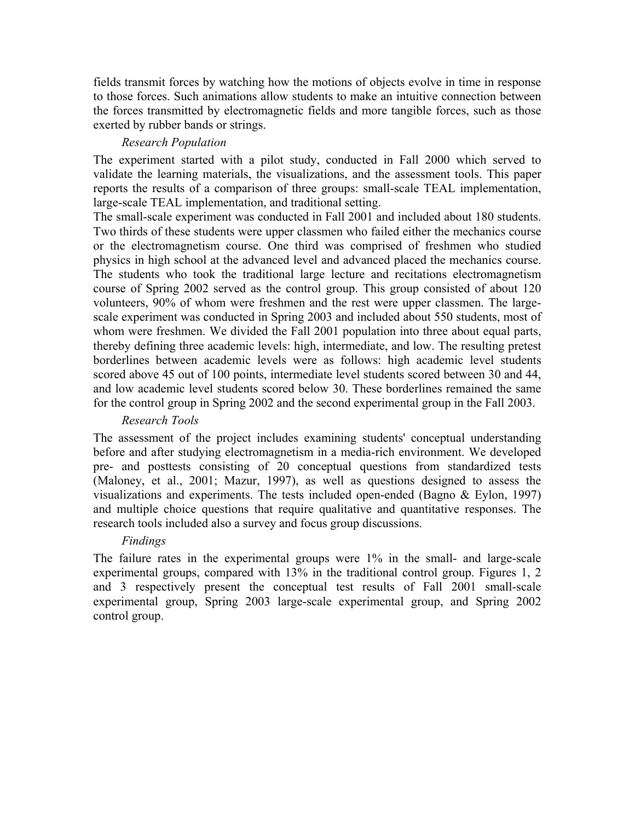fields transmit forces by watching how the motions of objects evolve in time in response to those forces. Such animations allow students to make an intuitive connection between the forces transmitted by electromagnetic fields and more tangible forces, such as those exerted by rubber bands or strings.

## *Research Population*

The experiment started with a pilot study, conducted in Fall 2000 which served to validate the learning materials, the visualizations, and the assessment tools. This paper reports the results of a comparison of three groups: small-scale TEAL implementation, large-scale TEAL implementation, and traditional setting.

The small-scale experiment was conducted in Fall 2001 and included about 180 students. Two thirds of these students were upper classmen who failed either the mechanics course or the electromagnetism course. One third was comprised of freshmen who studied physics in high school at the advanced level and advanced placed the mechanics course. The students who took the traditional large lecture and recitations electromagnetism course of Spring 2002 served as the control group. This group consisted of about 120 volunteers, 90% of whom were freshmen and the rest were upper classmen. The largescale experiment was conducted in Spring 2003 and included about 550 students, most of whom were freshmen. We divided the Fall 2001 population into three about equal parts, thereby defining three academic levels: high, intermediate, and low. The resulting pretest borderlines between academic levels were as follows: high academic level students scored above 45 out of 100 points, intermediate level students scored between 30 and 44, and low academic level students scored below 30. These borderlines remained the same for the control group in Spring 2002 and the second experimental group in the Fall 2003.

### *Research Tools*

The assessment of the project includes examining students' conceptual understanding before and after studying electromagnetism in a media-rich environment. We developed pre- and posttests consisting of 20 conceptual questions from standardized tests (Maloney, et al., 2001; Mazur, 1997), as well as questions designed to assess the visualizations and experiments. The tests included open-ended (Bagno & Eylon, 1997) and multiple choice questions that require qualitative and quantitative responses. The research tools included also a survey and focus group discussions.

### *Findings*

The failure rates in the experimental groups were 1% in the small- and large-scale experimental groups, compared with 13% in the traditional control group. Figures 1, 2 and 3 respectively present the conceptual test results of Fall 2001 small-scale experimental group, Spring 2003 large-scale experimental group, and Spring 2002 control group.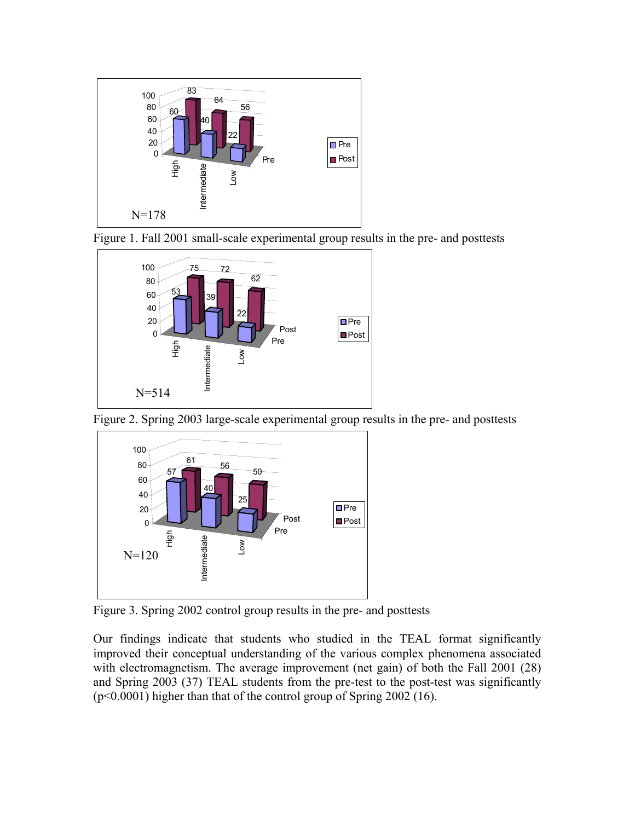

Figure 1. Fall 2001 small-scale experimental group results in the pre- and posttests



Figure 2. Spring 2003 large-scale experimental group results in the pre- and posttests



Figure 3. Spring 2002 control group results in the pre- and posttests

Our findings indicate that students who studied in the TEAL format significantly improved their conceptual understanding of the various complex phenomena associated with electromagnetism. The average improvement (net gain) of both the Fall 2001 (28) and Spring 2003 (37) TEAL students from the pre-test to the post-test was significantly (p<0.0001) higher than that of the control group of Spring 2002 (16).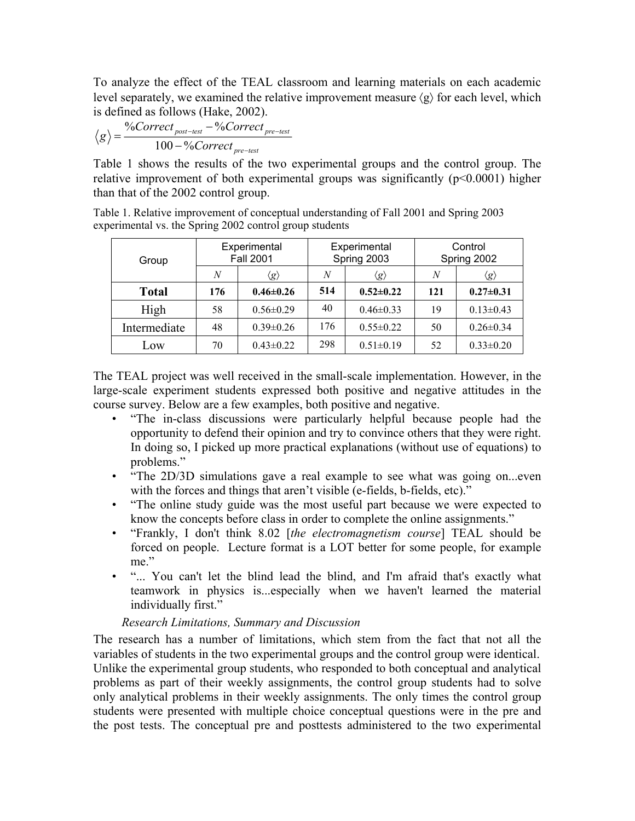To analyze the effect of the TEAL classroom and learning materials on each academic level separately, we examined the relative improvement measure  $\langle \varrho \rangle$  for each level, which is defined as follows (Hake, 2002).

$$
\langle g \rangle = \frac{\%Correct_{post-test} - \%Correct_{pre-test}}{100 - \%Correct_{pre-test}}
$$

Table 1 shows the results of the two experimental groups and the control group. The relative improvement of both experimental groups was significantly  $(p<0.0001)$  higher than that of the 2002 control group.

Table 1. Relative improvement of conceptual understanding of Fall 2001 and Spring 2003 experimental vs. the Spring 2002 control group students

| Group        | Experimental<br><b>Fall 2001</b> |                     | Experimental<br>Spring 2003 |                     | Control<br>Spring 2002 |                     |
|--------------|----------------------------------|---------------------|-----------------------------|---------------------|------------------------|---------------------|
|              | N                                | $\langle g \rangle$ | N                           | $\langle g \rangle$ | N                      | $\langle g \rangle$ |
| <b>Total</b> | 176                              | $0.46 \pm 0.26$     | 514                         | $0.52 \pm 0.22$     | 121                    | $0.27 \pm 0.31$     |
| High         | 58                               | $0.56 \pm 0.29$     | 40                          | $0.46 \pm 0.33$     | 19                     | $0.13 \pm 0.43$     |
| Intermediate | 48                               | $0.39 \pm 0.26$     | 176                         | $0.55 \pm 0.22$     | 50                     | $0.26 \pm 0.34$     |
| Low          | 70                               | $0.43 \pm 0.22$     | 298                         | $0.51 \pm 0.19$     | 52                     | $0.33 \pm 0.20$     |

The TEAL project was well received in the small-scale implementation. However, in the large-scale experiment students expressed both positive and negative attitudes in the course survey. Below are a few examples, both positive and negative.

- "The in-class discussions were particularly helpful because people had the opportunity to defend their opinion and try to convince others that they were right. In doing so, I picked up more practical explanations (without use of equations) to problems."
- "The 2D/3D simulations gave a real example to see what was going on...even with the forces and things that aren't visible (e-fields, b-fields, etc)."
- "The online study guide was the most useful part because we were expected to know the concepts before class in order to complete the online assignments."
- "Frankly, I don't think 8.02 [*the electromagnetism course*] TEAL should be forced on people. Lecture format is a LOT better for some people, for example me"
- "... You can't let the blind lead the blind, and I'm afraid that's exactly what teamwork in physics is...especially when we haven't learned the material individually first."

# *Research Limitations, Summary and Discussion*

The research has a number of limitations, which stem from the fact that not all the variables of students in the two experimental groups and the control group were identical. Unlike the experimental group students, who responded to both conceptual and analytical problems as part of their weekly assignments, the control group students had to solve only analytical problems in their weekly assignments. The only times the control group students were presented with multiple choice conceptual questions were in the pre and the post tests. The conceptual pre and posttests administered to the two experimental